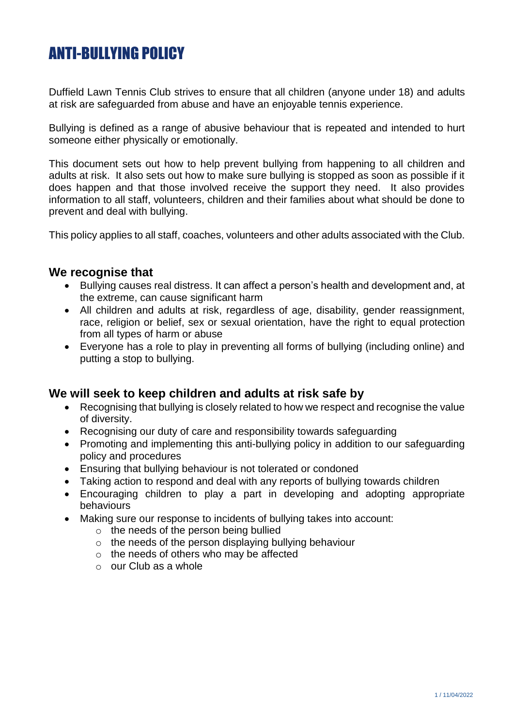# ANTI-BULLYING POLICY

Duffield Lawn Tennis Club strives to ensure that all children (anyone under 18) and adults at risk are safeguarded from abuse and have an enjoyable tennis experience.

Bullying is defined as a range of abusive behaviour that is repeated and intended to hurt someone either physically or emotionally.

This document sets out how to help prevent bullying from happening to all children and adults at risk. It also sets out how to make sure bullying is stopped as soon as possible if it does happen and that those involved receive the support they need. It also provides information to all staff, volunteers, children and their families about what should be done to prevent and deal with bullying.

This policy applies to all staff, coaches, volunteers and other adults associated with the Club.

## **We recognise that**

- Bullying causes real distress. It can affect a person's health and development and, at the extreme, can cause significant harm
- All children and adults at risk, regardless of age, disability, gender reassignment, race, religion or belief, sex or sexual orientation, have the right to equal protection from all types of harm or abuse
- Everyone has a role to play in preventing all forms of bullying (including online) and putting a stop to bullying.

### **We will seek to keep children and adults at risk safe by**

- Recognising that bullying is closely related to how we respect and recognise the value of diversity.
- Recognising our duty of care and responsibility towards safeguarding
- Promoting and implementing this anti-bullying policy in addition to our safeguarding policy and procedures
- Ensuring that bullying behaviour is not tolerated or condoned
- Taking action to respond and deal with any reports of bullying towards children
- Encouraging children to play a part in developing and adopting appropriate behaviours
- Making sure our response to incidents of bullying takes into account:
	- o the needs of the person being bullied
	- o the needs of the person displaying bullying behaviour
	- $\circ$  the needs of others who may be affected
	- o our Club as a whole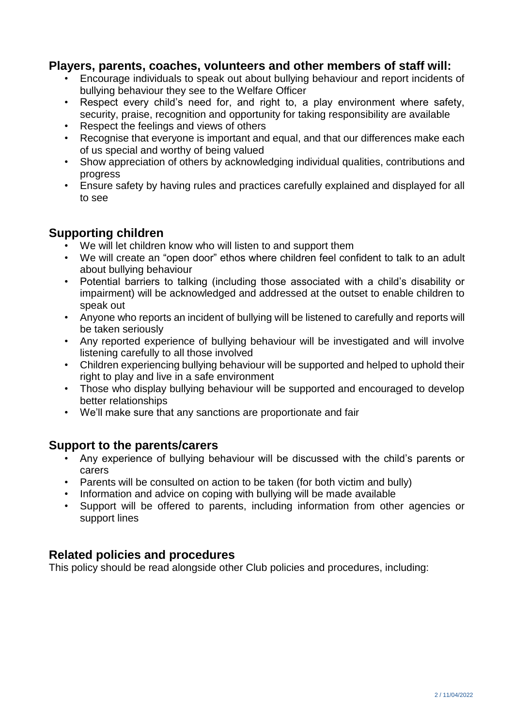## **Players, parents, coaches, volunteers and other members of staff will:**

- Encourage individuals to speak out about bullying behaviour and report incidents of bullying behaviour they see to the Welfare Officer
- Respect every child's need for, and right to, a play environment where safety, security, praise, recognition and opportunity for taking responsibility are available
- Respect the feelings and views of others
- Recognise that everyone is important and equal, and that our differences make each of us special and worthy of being valued
- Show appreciation of others by acknowledging individual qualities, contributions and progress
- Ensure safety by having rules and practices carefully explained and displayed for all to see

# **Supporting children**

- We will let children know who will listen to and support them
- We will create an "open door" ethos where children feel confident to talk to an adult about bullying behaviour
- Potential barriers to talking (including those associated with a child's disability or impairment) will be acknowledged and addressed at the outset to enable children to speak out
- Anyone who reports an incident of bullying will be listened to carefully and reports will be taken seriously
- Any reported experience of bullying behaviour will be investigated and will involve listening carefully to all those involved
- Children experiencing bullying behaviour will be supported and helped to uphold their right to play and live in a safe environment
- Those who display bullying behaviour will be supported and encouraged to develop better relationships
- We'll make sure that any sanctions are proportionate and fair

### **Support to the parents/carers**

- Any experience of bullying behaviour will be discussed with the child's parents or carers
- Parents will be consulted on action to be taken (for both victim and bully)
- Information and advice on coping with bullying will be made available<br>• Sunnort will be offered to parents, including information from other
- Support will be offered to parents, including information from other agencies or support lines

## **Related policies and procedures**

This policy should be read alongside other Club policies and procedures, including: